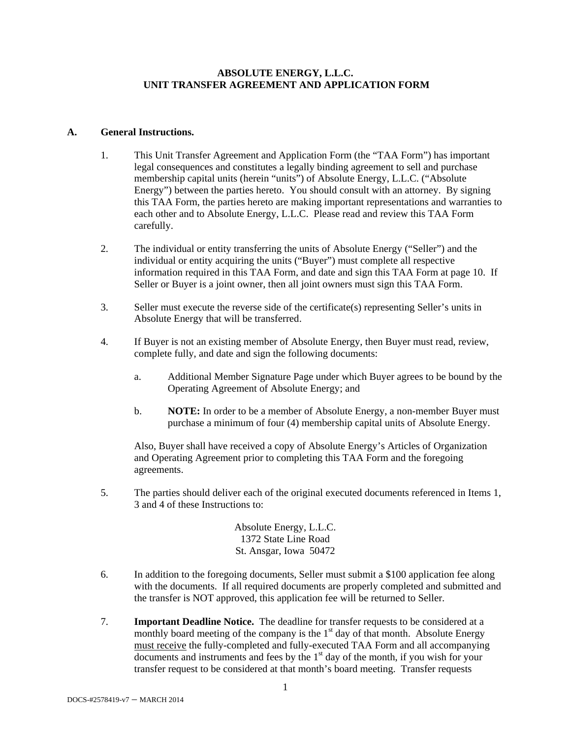# **ABSOLUTE ENERGY, L.L.C. UNIT TRANSFER AGREEMENT AND APPLICATION FORM**

## **A. General Instructions.**

- 1. This Unit Transfer Agreement and Application Form (the "TAA Form") has important legal consequences and constitutes a legally binding agreement to sell and purchase membership capital units (herein "units") of Absolute Energy, L.L.C. ("Absolute Energy") between the parties hereto. You should consult with an attorney. By signing this TAA Form, the parties hereto are making important representations and warranties to each other and to Absolute Energy, L.L.C. Please read and review this TAA Form carefully.
- 2. The individual or entity transferring the units of Absolute Energy ("Seller") and the individual or entity acquiring the units ("Buyer") must complete all respective information required in this TAA Form, and date and sign this TAA Form at page 10. If Seller or Buyer is a joint owner, then all joint owners must sign this TAA Form.
- 3. Seller must execute the reverse side of the certificate(s) representing Seller's units in Absolute Energy that will be transferred.
- 4. If Buyer is not an existing member of Absolute Energy, then Buyer must read, review, complete fully, and date and sign the following documents:
	- a. Additional Member Signature Page under which Buyer agrees to be bound by the Operating Agreement of Absolute Energy; and
	- b. **NOTE:** In order to be a member of Absolute Energy, a non-member Buyer must purchase a minimum of four (4) membership capital units of Absolute Energy.

Also, Buyer shall have received a copy of Absolute Energy's Articles of Organization and Operating Agreement prior to completing this TAA Form and the foregoing agreements.

5. The parties should deliver each of the original executed documents referenced in Items 1, 3 and 4 of these Instructions to:

> Absolute Energy, L.L.C. 1372 State Line Road St. Ansgar, Iowa 50472

- 6. In addition to the foregoing documents, Seller must submit a \$100 application fee along with the documents. If all required documents are properly completed and submitted and the transfer is NOT approved, this application fee will be returned to Seller.
- 7. **Important Deadline Notice.** The deadline for transfer requests to be considered at a monthly board meeting of the company is the  $1<sup>st</sup>$  day of that month. Absolute Energy must receive the fully-completed and fully-executed TAA Form and all accompanying  $\overline{\text{documents}}$  and instruments and fees by the  $1^{\text{st}}$  day of the month, if you wish for your transfer request to be considered at that month's board meeting. Transfer requests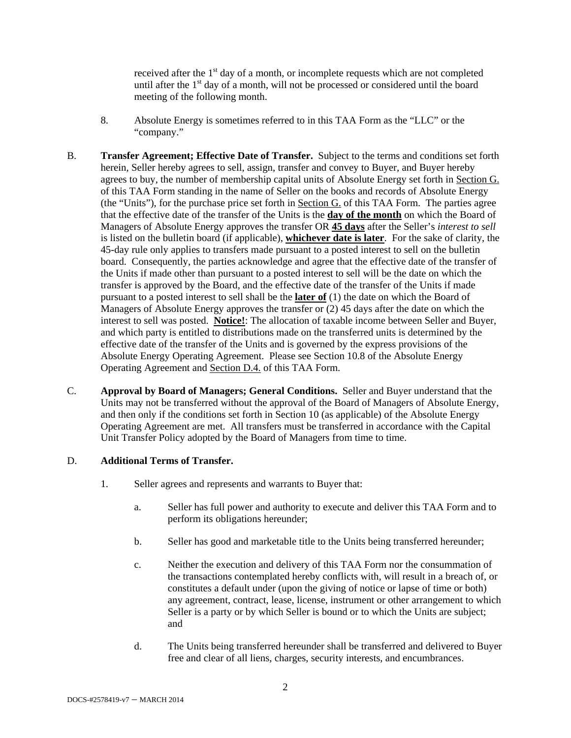received after the 1<sup>st</sup> day of a month, or incomplete requests which are not completed until after the  $1<sup>st</sup>$  day of a month, will not be processed or considered until the board meeting of the following month.

- 8. Absolute Energy is sometimes referred to in this TAA Form as the "LLC" or the "company."
- B. **Transfer Agreement; Effective Date of Transfer.** Subject to the terms and conditions set forth herein, Seller hereby agrees to sell, assign, transfer and convey to Buyer, and Buyer hereby agrees to buy, the number of membership capital units of Absolute Energy set forth in Section G. of this TAA Form standing in the name of Seller on the books and records of Absolute Energy (the "Units"), for the purchase price set forth in Section G. of this TAA Form. The parties agree that the effective date of the transfer of the Units is the **day of the month** on which the Board of Managers of Absolute Energy approves the transfer OR **45 days** after the Seller's *interest to sell* is listed on the bulletin board (if applicable), **whichever date is later**. For the sake of clarity, the 45-day rule only applies to transfers made pursuant to a posted interest to sell on the bulletin board. Consequently, the parties acknowledge and agree that the effective date of the transfer of the Units if made other than pursuant to a posted interest to sell will be the date on which the transfer is approved by the Board, and the effective date of the transfer of the Units if made pursuant to a posted interest to sell shall be the **later of** (1) the date on which the Board of Managers of Absolute Energy approves the transfer or (2) 45 days after the date on which the interest to sell was posted. **Notice!**: The allocation of taxable income between Seller and Buyer, and which party is entitled to distributions made on the transferred units is determined by the effective date of the transfer of the Units and is governed by the express provisions of the Absolute Energy Operating Agreement. Please see Section 10.8 of the Absolute Energy Operating Agreement and Section D.4. of this TAA Form.
- C. **Approval by Board of Managers; General Conditions.** Seller and Buyer understand that the Units may not be transferred without the approval of the Board of Managers of Absolute Energy, and then only if the conditions set forth in Section 10 (as applicable) of the Absolute Energy Operating Agreement are met. All transfers must be transferred in accordance with the Capital Unit Transfer Policy adopted by the Board of Managers from time to time.

## D. **Additional Terms of Transfer.**

- 1. Seller agrees and represents and warrants to Buyer that:
	- a. Seller has full power and authority to execute and deliver this TAA Form and to perform its obligations hereunder;
	- b. Seller has good and marketable title to the Units being transferred hereunder;
	- c. Neither the execution and delivery of this TAA Form nor the consummation of the transactions contemplated hereby conflicts with, will result in a breach of, or constitutes a default under (upon the giving of notice or lapse of time or both) any agreement, contract, lease, license, instrument or other arrangement to which Seller is a party or by which Seller is bound or to which the Units are subject; and
	- d. The Units being transferred hereunder shall be transferred and delivered to Buyer free and clear of all liens, charges, security interests, and encumbrances.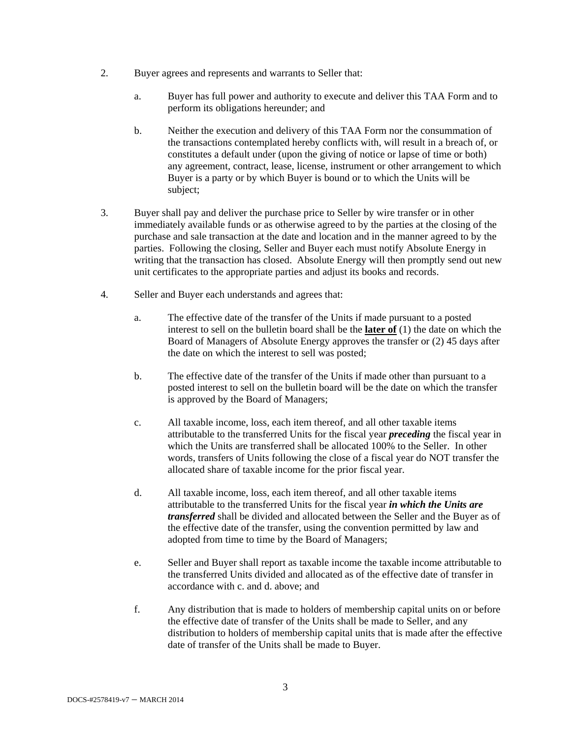- 2. Buyer agrees and represents and warrants to Seller that:
	- a. Buyer has full power and authority to execute and deliver this TAA Form and to perform its obligations hereunder; and
	- b. Neither the execution and delivery of this TAA Form nor the consummation of the transactions contemplated hereby conflicts with, will result in a breach of, or constitutes a default under (upon the giving of notice or lapse of time or both) any agreement, contract, lease, license, instrument or other arrangement to which Buyer is a party or by which Buyer is bound or to which the Units will be subject;
- 3. Buyer shall pay and deliver the purchase price to Seller by wire transfer or in other immediately available funds or as otherwise agreed to by the parties at the closing of the purchase and sale transaction at the date and location and in the manner agreed to by the parties. Following the closing, Seller and Buyer each must notify Absolute Energy in writing that the transaction has closed. Absolute Energy will then promptly send out new unit certificates to the appropriate parties and adjust its books and records.
- 4. Seller and Buyer each understands and agrees that:
	- a. The effective date of the transfer of the Units if made pursuant to a posted interest to sell on the bulletin board shall be the **later of** (1) the date on which the Board of Managers of Absolute Energy approves the transfer or (2) 45 days after the date on which the interest to sell was posted;
	- b. The effective date of the transfer of the Units if made other than pursuant to a posted interest to sell on the bulletin board will be the date on which the transfer is approved by the Board of Managers;
	- c. All taxable income, loss, each item thereof, and all other taxable items attributable to the transferred Units for the fiscal year *preceding* the fiscal year in which the Units are transferred shall be allocated 100% to the Seller. In other words, transfers of Units following the close of a fiscal year do NOT transfer the allocated share of taxable income for the prior fiscal year.
	- d. All taxable income, loss, each item thereof, and all other taxable items attributable to the transferred Units for the fiscal year *in which the Units are transferred* shall be divided and allocated between the Seller and the Buyer as of the effective date of the transfer, using the convention permitted by law and adopted from time to time by the Board of Managers;
	- e. Seller and Buyer shall report as taxable income the taxable income attributable to the transferred Units divided and allocated as of the effective date of transfer in accordance with c. and d. above; and
	- f. Any distribution that is made to holders of membership capital units on or before the effective date of transfer of the Units shall be made to Seller, and any distribution to holders of membership capital units that is made after the effective date of transfer of the Units shall be made to Buyer.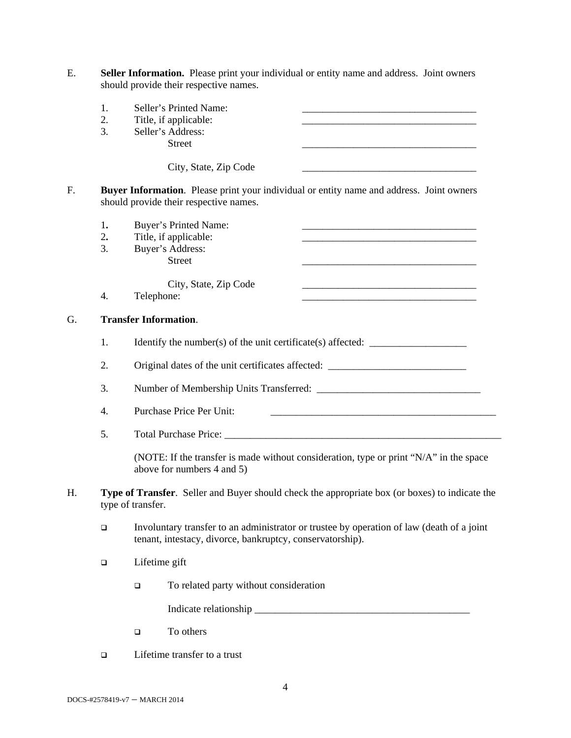E. **Seller Information.** Please print your individual or entity name and address. Joint owners should provide their respective names.

|    | 1.<br>2.<br>3.               |                                                                                                                                                        | Seller's Printed Name:<br>Title, if applicable:<br>Seller's Address:<br><b>Street</b>                                              |  |  |
|----|------------------------------|--------------------------------------------------------------------------------------------------------------------------------------------------------|------------------------------------------------------------------------------------------------------------------------------------|--|--|
|    |                              |                                                                                                                                                        | City, State, Zip Code                                                                                                              |  |  |
| F. |                              |                                                                                                                                                        | Buyer Information. Please print your individual or entity name and address. Joint owners<br>should provide their respective names. |  |  |
|    | 1.<br>2.<br>3.               |                                                                                                                                                        | Buyer's Printed Name:<br>Title, if applicable:<br>Buyer's Address:<br><b>Street</b>                                                |  |  |
|    | 4.                           | Telephone:                                                                                                                                             | City, State, Zip Code                                                                                                              |  |  |
| G. | <b>Transfer Information.</b> |                                                                                                                                                        |                                                                                                                                    |  |  |
|    | 1.                           | Identify the number(s) of the unit certificate(s) affected: _____________________                                                                      |                                                                                                                                    |  |  |
|    | 2.                           | Original dates of the unit certificates affected: ______________________________                                                                       |                                                                                                                                    |  |  |
|    | 3.                           |                                                                                                                                                        |                                                                                                                                    |  |  |
|    | 4.                           | Purchase Price Per Unit:<br><u> 1989 - Johann Barn, mars ar breithinn ar chwaraeth a chwaraeth a chwaraeth a chwaraeth a chwaraeth a chwaraet</u>      |                                                                                                                                    |  |  |
|    | 5.                           |                                                                                                                                                        |                                                                                                                                    |  |  |
|    |                              | (NOTE: If the transfer is made without consideration, type or print "N/A" in the space<br>above for numbers 4 and 5)                                   |                                                                                                                                    |  |  |
| Н. |                              | type of transfer.                                                                                                                                      | Type of Transfer. Seller and Buyer should check the appropriate box (or boxes) to indicate the                                     |  |  |
|    | $\Box$                       | Involuntary transfer to an administrator or trustee by operation of law (death of a joint<br>tenant, intestacy, divorce, bankruptcy, conservatorship). |                                                                                                                                    |  |  |
|    | $\Box$                       | Lifetime gift                                                                                                                                          |                                                                                                                                    |  |  |
|    |                              | $\Box$                                                                                                                                                 | To related party without consideration                                                                                             |  |  |
|    |                              |                                                                                                                                                        |                                                                                                                                    |  |  |
|    |                              | $\Box$                                                                                                                                                 | To others                                                                                                                          |  |  |

Lifetime transfer to a trust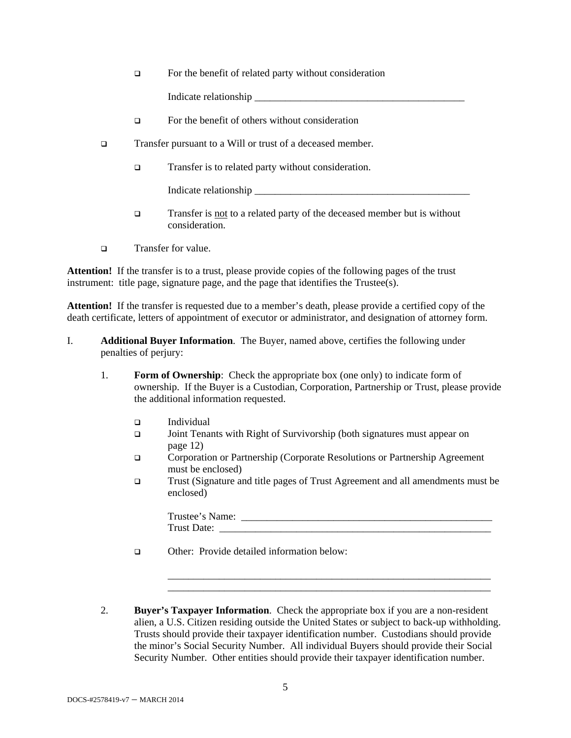$\Box$  For the benefit of related party without consideration

Indicate relationship

- $\Box$  For the benefit of others without consideration
- Transfer pursuant to a Will or trust of a deceased member.
	- **Transfer is to related party without consideration.**

Indicate relationship

- Transfer is not to a related party of the deceased member but is without consideration.
- **Transfer for value.**

**Attention!** If the transfer is to a trust, please provide copies of the following pages of the trust instrument: title page, signature page, and the page that identifies the Trustee(s).

**Attention!** If the transfer is requested due to a member's death, please provide a certified copy of the death certificate, letters of appointment of executor or administrator, and designation of attorney form.

- I. **Additional Buyer Information**. The Buyer, named above, certifies the following under penalties of perjury:
	- 1. **Form of Ownership**: Check the appropriate box (one only) to indicate form of ownership. If the Buyer is a Custodian, Corporation, Partnership or Trust, please provide the additional information requested.
		- Individual
		- Joint Tenants with Right of Survivorship (both signatures must appear on page 12)
		- Corporation or Partnership (Corporate Resolutions or Partnership Agreement must be enclosed)
		- Trust (Signature and title pages of Trust Agreement and all amendments must be enclosed)

| Trustee's Name: |  |
|-----------------|--|
| Trust Date:     |  |

\_\_\_\_\_\_\_\_\_\_\_\_\_\_\_\_\_\_\_\_\_\_\_\_\_\_\_\_\_\_\_\_\_\_\_\_\_\_\_\_\_\_\_\_\_\_\_\_\_\_\_\_\_\_\_\_\_\_\_\_\_\_\_ \_\_\_\_\_\_\_\_\_\_\_\_\_\_\_\_\_\_\_\_\_\_\_\_\_\_\_\_\_\_\_\_\_\_\_\_\_\_\_\_\_\_\_\_\_\_\_\_\_\_\_\_\_\_\_\_\_\_\_\_\_\_\_

- □ Other: Provide detailed information below:
- 2. **Buyer's Taxpayer Information**. Check the appropriate box if you are a non-resident alien, a U.S. Citizen residing outside the United States or subject to back-up withholding. Trusts should provide their taxpayer identification number. Custodians should provide the minor's Social Security Number. All individual Buyers should provide their Social Security Number. Other entities should provide their taxpayer identification number.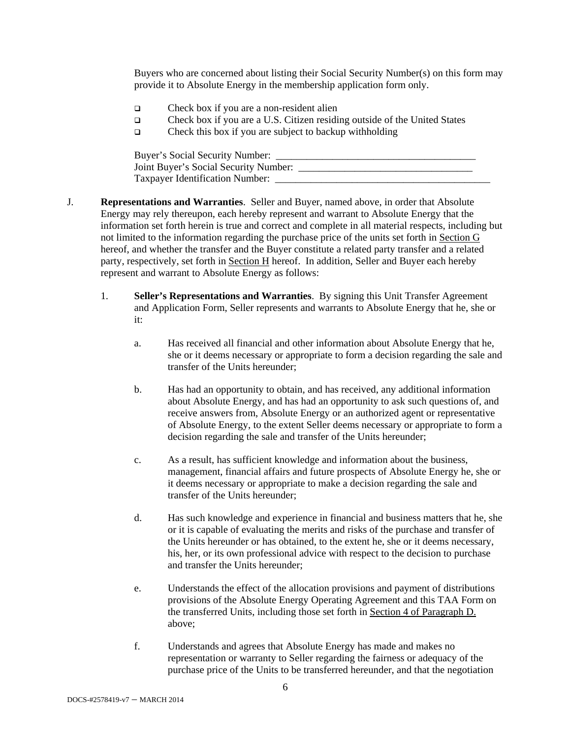Buyers who are concerned about listing their Social Security Number(s) on this form may provide it to Absolute Energy in the membership application form only.

- Check box if you are a non-resident alien
- Check box if you are a U.S. Citizen residing outside of the United States
- $\Box$  Check this box if you are subject to backup withholding

| Buyer's Social Security Number:       |  |
|---------------------------------------|--|
| Joint Buyer's Social Security Number: |  |
| Taxpayer Identification Number:       |  |

- J. **Representations and Warranties**. Seller and Buyer, named above, in order that Absolute Energy may rely thereupon, each hereby represent and warrant to Absolute Energy that the information set forth herein is true and correct and complete in all material respects, including but not limited to the information regarding the purchase price of the units set forth in Section G hereof, and whether the transfer and the Buyer constitute a related party transfer and a related party, respectively, set forth in Section H hereof. In addition, Seller and Buyer each hereby represent and warrant to Absolute Energy as follows:
	- 1. **Seller's Representations and Warranties**. By signing this Unit Transfer Agreement and Application Form, Seller represents and warrants to Absolute Energy that he, she or it:
		- a. Has received all financial and other information about Absolute Energy that he, she or it deems necessary or appropriate to form a decision regarding the sale and transfer of the Units hereunder;
		- b. Has had an opportunity to obtain, and has received, any additional information about Absolute Energy, and has had an opportunity to ask such questions of, and receive answers from, Absolute Energy or an authorized agent or representative of Absolute Energy, to the extent Seller deems necessary or appropriate to form a decision regarding the sale and transfer of the Units hereunder;
		- c. As a result, has sufficient knowledge and information about the business, management, financial affairs and future prospects of Absolute Energy he, she or it deems necessary or appropriate to make a decision regarding the sale and transfer of the Units hereunder;
		- d. Has such knowledge and experience in financial and business matters that he, she or it is capable of evaluating the merits and risks of the purchase and transfer of the Units hereunder or has obtained, to the extent he, she or it deems necessary, his, her, or its own professional advice with respect to the decision to purchase and transfer the Units hereunder;
		- e. Understands the effect of the allocation provisions and payment of distributions provisions of the Absolute Energy Operating Agreement and this TAA Form on the transferred Units, including those set forth in Section 4 of Paragraph D. above;
		- f. Understands and agrees that Absolute Energy has made and makes no representation or warranty to Seller regarding the fairness or adequacy of the purchase price of the Units to be transferred hereunder, and that the negotiation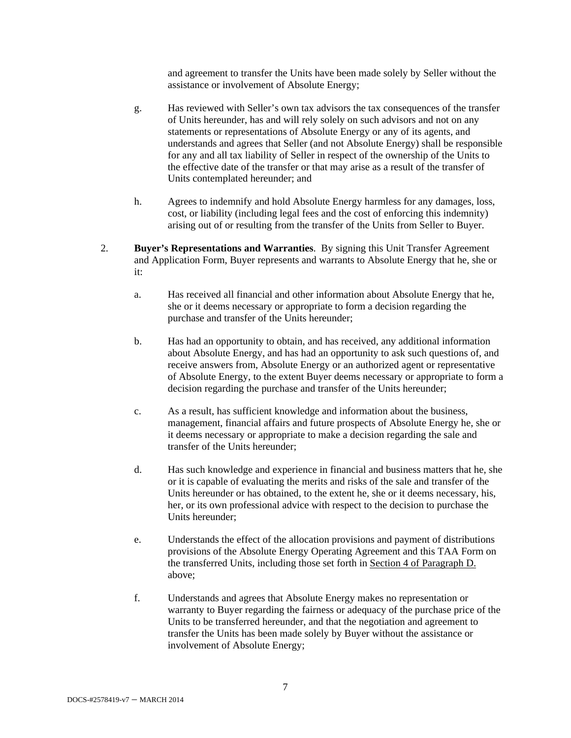and agreement to transfer the Units have been made solely by Seller without the assistance or involvement of Absolute Energy;

- g. Has reviewed with Seller's own tax advisors the tax consequences of the transfer of Units hereunder, has and will rely solely on such advisors and not on any statements or representations of Absolute Energy or any of its agents, and understands and agrees that Seller (and not Absolute Energy) shall be responsible for any and all tax liability of Seller in respect of the ownership of the Units to the effective date of the transfer or that may arise as a result of the transfer of Units contemplated hereunder; and
- h. Agrees to indemnify and hold Absolute Energy harmless for any damages, loss, cost, or liability (including legal fees and the cost of enforcing this indemnity) arising out of or resulting from the transfer of the Units from Seller to Buyer.
- 2. **Buyer's Representations and Warranties**. By signing this Unit Transfer Agreement and Application Form, Buyer represents and warrants to Absolute Energy that he, she or it:
	- a. Has received all financial and other information about Absolute Energy that he, she or it deems necessary or appropriate to form a decision regarding the purchase and transfer of the Units hereunder;
	- b. Has had an opportunity to obtain, and has received, any additional information about Absolute Energy, and has had an opportunity to ask such questions of, and receive answers from, Absolute Energy or an authorized agent or representative of Absolute Energy, to the extent Buyer deems necessary or appropriate to form a decision regarding the purchase and transfer of the Units hereunder;
	- c. As a result, has sufficient knowledge and information about the business, management, financial affairs and future prospects of Absolute Energy he, she or it deems necessary or appropriate to make a decision regarding the sale and transfer of the Units hereunder;
	- d. Has such knowledge and experience in financial and business matters that he, she or it is capable of evaluating the merits and risks of the sale and transfer of the Units hereunder or has obtained, to the extent he, she or it deems necessary, his, her, or its own professional advice with respect to the decision to purchase the Units hereunder;
	- e. Understands the effect of the allocation provisions and payment of distributions provisions of the Absolute Energy Operating Agreement and this TAA Form on the transferred Units, including those set forth in Section 4 of Paragraph D. above;
	- f. Understands and agrees that Absolute Energy makes no representation or warranty to Buyer regarding the fairness or adequacy of the purchase price of the Units to be transferred hereunder, and that the negotiation and agreement to transfer the Units has been made solely by Buyer without the assistance or involvement of Absolute Energy;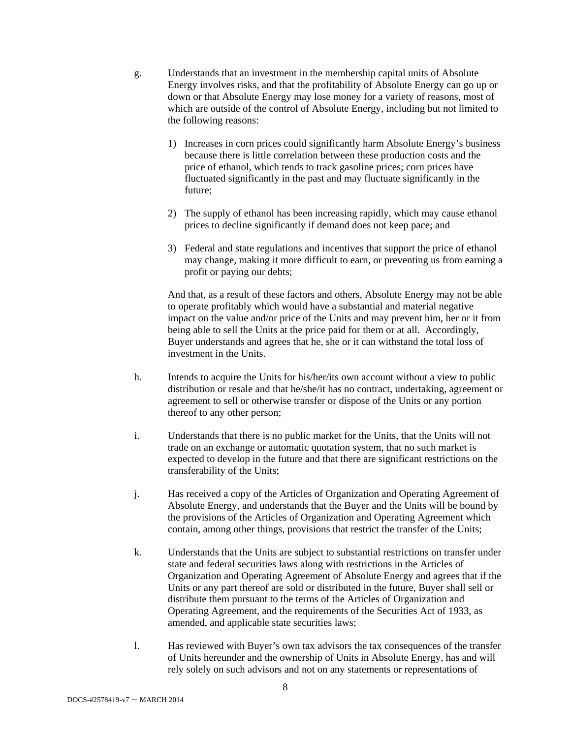- g. Understands that an investment in the membership capital units of Absolute Energy involves risks, and that the profitability of Absolute Energy can go up or down or that Absolute Energy may lose money for a variety of reasons, most of which are outside of the control of Absolute Energy, including but not limited to the following reasons:
	- 1) Increases in corn prices could significantly harm Absolute Energy's business because there is little correlation between these production costs and the price of ethanol, which tends to track gasoline prices; corn prices have fluctuated significantly in the past and may fluctuate significantly in the future;
	- 2) The supply of ethanol has been increasing rapidly, which may cause ethanol prices to decline significantly if demand does not keep pace; and
	- 3) Federal and state regulations and incentives that support the price of ethanol may change, making it more difficult to earn, or preventing us from earning a profit or paying our debts;

And that, as a result of these factors and others, Absolute Energy may not be able to operate profitably which would have a substantial and material negative impact on the value and/or price of the Units and may prevent him, her or it from being able to sell the Units at the price paid for them or at all. Accordingly, Buyer understands and agrees that he, she or it can withstand the total loss of investment in the Units.

- h. Intends to acquire the Units for his/her/its own account without a view to public distribution or resale and that he/she/it has no contract, undertaking, agreement or agreement to sell or otherwise transfer or dispose of the Units or any portion thereof to any other person;
- i. Understands that there is no public market for the Units, that the Units will not trade on an exchange or automatic quotation system, that no such market is expected to develop in the future and that there are significant restrictions on the transferability of the Units;
- j. Has received a copy of the Articles of Organization and Operating Agreement of Absolute Energy, and understands that the Buyer and the Units will be bound by the provisions of the Articles of Organization and Operating Agreement which contain, among other things, provisions that restrict the transfer of the Units;
- k. Understands that the Units are subject to substantial restrictions on transfer under state and federal securities laws along with restrictions in the Articles of Organization and Operating Agreement of Absolute Energy and agrees that if the Units or any part thereof are sold or distributed in the future, Buyer shall sell or distribute them pursuant to the terms of the Articles of Organization and Operating Agreement, and the requirements of the Securities Act of 1933, as amended, and applicable state securities laws;
- l. Has reviewed with Buyer's own tax advisors the tax consequences of the transfer of Units hereunder and the ownership of Units in Absolute Energy, has and will rely solely on such advisors and not on any statements or representations of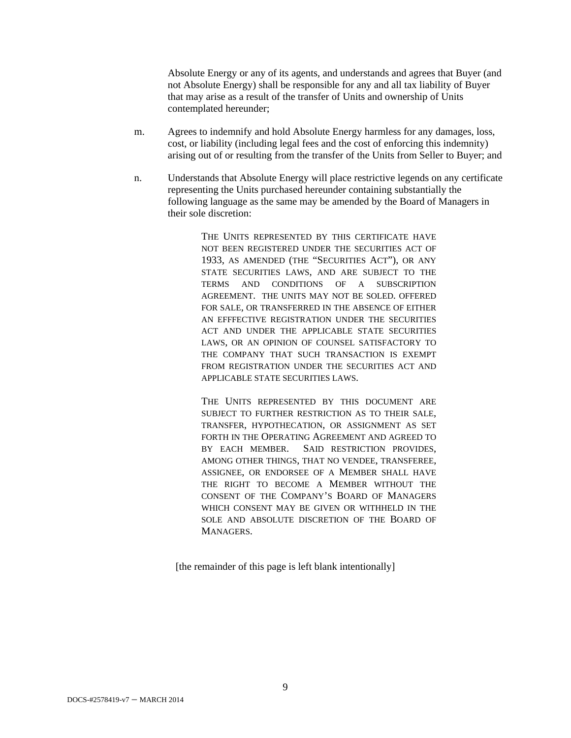Absolute Energy or any of its agents, and understands and agrees that Buyer (and not Absolute Energy) shall be responsible for any and all tax liability of Buyer that may arise as a result of the transfer of Units and ownership of Units contemplated hereunder;

- m. Agrees to indemnify and hold Absolute Energy harmless for any damages, loss, cost, or liability (including legal fees and the cost of enforcing this indemnity) arising out of or resulting from the transfer of the Units from Seller to Buyer; and
- n. Understands that Absolute Energy will place restrictive legends on any certificate representing the Units purchased hereunder containing substantially the following language as the same may be amended by the Board of Managers in their sole discretion:

THE UNITS REPRESENTED BY THIS CERTIFICATE HAVE NOT BEEN REGISTERED UNDER THE SECURITIES ACT OF 1933, AS AMENDED (THE "SECURITIES ACT"), OR ANY STATE SECURITIES LAWS, AND ARE SUBJECT TO THE TERMS AND CONDITIONS OF A SUBSCRIPTION AGREEMENT. THE UNITS MAY NOT BE SOLED. OFFERED FOR SALE, OR TRANSFERRED IN THE ABSENCE OF EITHER AN EFFFECTIVE REGISTRATION UNDER THE SECURITIES ACT AND UNDER THE APPLICABLE STATE SECURITIES LAWS, OR AN OPINION OF COUNSEL SATISFACTORY TO THE COMPANY THAT SUCH TRANSACTION IS EXEMPT FROM REGISTRATION UNDER THE SECURITIES ACT AND APPLICABLE STATE SECURITIES LAWS.

THE UNITS REPRESENTED BY THIS DOCUMENT ARE SUBJECT TO FURTHER RESTRICTION AS TO THEIR SALE, TRANSFER, HYPOTHECATION, OR ASSIGNMENT AS SET FORTH IN THE OPERATING AGREEMENT AND AGREED TO BY EACH MEMBER. SAID RESTRICTION PROVIDES, AMONG OTHER THINGS, THAT NO VENDEE, TRANSFEREE, ASSIGNEE, OR ENDORSEE OF A MEMBER SHALL HAVE THE RIGHT TO BECOME A MEMBER WITHOUT THE CONSENT OF THE COMPANY'S BOARD OF MANAGERS WHICH CONSENT MAY BE GIVEN OR WITHHELD IN THE SOLE AND ABSOLUTE DISCRETION OF THE BOARD OF MANAGERS.

[the remainder of this page is left blank intentionally]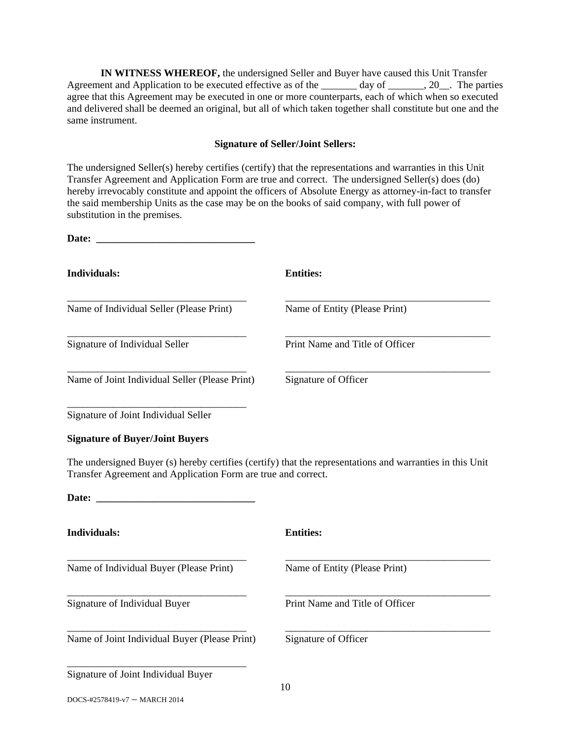**IN WITNESS WHEREOF,** the undersigned Seller and Buyer have caused this Unit Transfer Agreement and Application to be executed effective as of the \_\_\_\_\_\_ day of \_\_\_\_\_\_, 20\_. The parties agree that this Agreement may be executed in one or more counterparts, each of which when so executed and delivered shall be deemed an original, but all of which taken together shall constitute but one and the same instrument.

#### **Signature of Seller/Joint Sellers:**

The undersigned Seller(s) hereby certifies (certify) that the representations and warranties in this Unit Transfer Agreement and Application Form are true and correct. The undersigned Seller(s) does (do) hereby irrevocably constitute and appoint the officers of Absolute Energy as attorney-in-fact to transfer the said membership Units as the case may be on the books of said company, with full power of substitution in the premises.

| Date:                                                         |                                                                                                           |
|---------------------------------------------------------------|-----------------------------------------------------------------------------------------------------------|
| Individuals:                                                  | <b>Entities:</b>                                                                                          |
| Name of Individual Seller (Please Print)                      | Name of Entity (Please Print)                                                                             |
| Signature of Individual Seller                                | Print Name and Title of Officer                                                                           |
| Name of Joint Individual Seller (Please Print)                | Signature of Officer                                                                                      |
| Signature of Joint Individual Seller                          |                                                                                                           |
| <b>Signature of Buyer/Joint Buyers</b>                        |                                                                                                           |
| Transfer Agreement and Application Form are true and correct. | The undersigned Buyer (s) hereby certifies (certify) that the representations and warranties in this Unit |

**Date: \_\_\_\_\_\_\_\_\_\_\_\_\_\_\_\_\_\_\_\_\_\_\_\_\_\_\_\_\_\_\_**

| Individuals:                                  | <b>Entities:</b>                |
|-----------------------------------------------|---------------------------------|
| Name of Individual Buyer (Please Print)       | Name of Entity (Please Print)   |
| Signature of Individual Buyer                 | Print Name and Title of Officer |
| Name of Joint Individual Buyer (Please Print) | Signature of Officer            |
| Signature of Joint Individual Buyer           | 10                              |